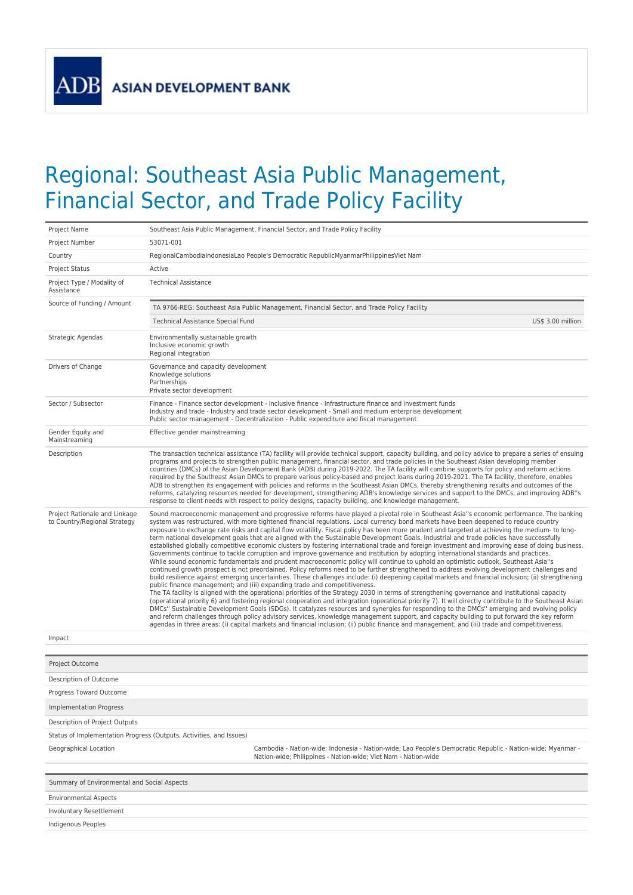**ASIAN DEVELOPMENT BANK** 

ADB

## Regional: Southeast Asia Public Management, Financial Sector, and Trade Policy Facility

| Project Name                                                  | Southeast Asia Public Management, Financial Sector, and Trade Policy Facility                                                                                                                                                                                                                                                                                                                                                                                                                                                                                                                                                                                                                                                                                                                                                                                                                                                                                                                                                                                                                                                                                                                                                                                                                                                                                                                                                                                                                                                                                                                                                                                                                                                                                                                                                                                                                                                                                                                                                                                                                                                                                 |  |  |  |  |  |
|---------------------------------------------------------------|---------------------------------------------------------------------------------------------------------------------------------------------------------------------------------------------------------------------------------------------------------------------------------------------------------------------------------------------------------------------------------------------------------------------------------------------------------------------------------------------------------------------------------------------------------------------------------------------------------------------------------------------------------------------------------------------------------------------------------------------------------------------------------------------------------------------------------------------------------------------------------------------------------------------------------------------------------------------------------------------------------------------------------------------------------------------------------------------------------------------------------------------------------------------------------------------------------------------------------------------------------------------------------------------------------------------------------------------------------------------------------------------------------------------------------------------------------------------------------------------------------------------------------------------------------------------------------------------------------------------------------------------------------------------------------------------------------------------------------------------------------------------------------------------------------------------------------------------------------------------------------------------------------------------------------------------------------------------------------------------------------------------------------------------------------------------------------------------------------------------------------------------------------------|--|--|--|--|--|
| Project Number                                                | 53071-001                                                                                                                                                                                                                                                                                                                                                                                                                                                                                                                                                                                                                                                                                                                                                                                                                                                                                                                                                                                                                                                                                                                                                                                                                                                                                                                                                                                                                                                                                                                                                                                                                                                                                                                                                                                                                                                                                                                                                                                                                                                                                                                                                     |  |  |  |  |  |
| Country                                                       | RegionalCambodiaIndonesiaLao People's Democratic RepublicMyanmarPhilippinesViet Nam                                                                                                                                                                                                                                                                                                                                                                                                                                                                                                                                                                                                                                                                                                                                                                                                                                                                                                                                                                                                                                                                                                                                                                                                                                                                                                                                                                                                                                                                                                                                                                                                                                                                                                                                                                                                                                                                                                                                                                                                                                                                           |  |  |  |  |  |
| <b>Project Status</b>                                         | Active                                                                                                                                                                                                                                                                                                                                                                                                                                                                                                                                                                                                                                                                                                                                                                                                                                                                                                                                                                                                                                                                                                                                                                                                                                                                                                                                                                                                                                                                                                                                                                                                                                                                                                                                                                                                                                                                                                                                                                                                                                                                                                                                                        |  |  |  |  |  |
| Project Type / Modality of<br>Assistance                      | <b>Technical Assistance</b>                                                                                                                                                                                                                                                                                                                                                                                                                                                                                                                                                                                                                                                                                                                                                                                                                                                                                                                                                                                                                                                                                                                                                                                                                                                                                                                                                                                                                                                                                                                                                                                                                                                                                                                                                                                                                                                                                                                                                                                                                                                                                                                                   |  |  |  |  |  |
| Source of Funding / Amount                                    | TA 9766-REG: Southeast Asia Public Management, Financial Sector, and Trade Policy Facility                                                                                                                                                                                                                                                                                                                                                                                                                                                                                                                                                                                                                                                                                                                                                                                                                                                                                                                                                                                                                                                                                                                                                                                                                                                                                                                                                                                                                                                                                                                                                                                                                                                                                                                                                                                                                                                                                                                                                                                                                                                                    |  |  |  |  |  |
|                                                               | <b>Technical Assistance Special Fund</b><br>US\$ 3.00 million                                                                                                                                                                                                                                                                                                                                                                                                                                                                                                                                                                                                                                                                                                                                                                                                                                                                                                                                                                                                                                                                                                                                                                                                                                                                                                                                                                                                                                                                                                                                                                                                                                                                                                                                                                                                                                                                                                                                                                                                                                                                                                 |  |  |  |  |  |
| Strategic Agendas                                             | Environmentally sustainable growth<br>Inclusive economic growth<br>Regional integration                                                                                                                                                                                                                                                                                                                                                                                                                                                                                                                                                                                                                                                                                                                                                                                                                                                                                                                                                                                                                                                                                                                                                                                                                                                                                                                                                                                                                                                                                                                                                                                                                                                                                                                                                                                                                                                                                                                                                                                                                                                                       |  |  |  |  |  |
| Drivers of Change                                             | Governance and capacity development<br>Knowledge solutions<br>Partnerships<br>Private sector development                                                                                                                                                                                                                                                                                                                                                                                                                                                                                                                                                                                                                                                                                                                                                                                                                                                                                                                                                                                                                                                                                                                                                                                                                                                                                                                                                                                                                                                                                                                                                                                                                                                                                                                                                                                                                                                                                                                                                                                                                                                      |  |  |  |  |  |
| Sector / Subsector                                            | Finance - Finance sector development - Inclusive finance - Infrastructure finance and investment funds<br>Industry and trade - Industry and trade sector development - Small and medium enterprise development<br>Public sector management - Decentralization - Public expenditure and fiscal management                                                                                                                                                                                                                                                                                                                                                                                                                                                                                                                                                                                                                                                                                                                                                                                                                                                                                                                                                                                                                                                                                                                                                                                                                                                                                                                                                                                                                                                                                                                                                                                                                                                                                                                                                                                                                                                      |  |  |  |  |  |
| Gender Equity and<br>Mainstreaming                            | Effective gender mainstreaming                                                                                                                                                                                                                                                                                                                                                                                                                                                                                                                                                                                                                                                                                                                                                                                                                                                                                                                                                                                                                                                                                                                                                                                                                                                                                                                                                                                                                                                                                                                                                                                                                                                                                                                                                                                                                                                                                                                                                                                                                                                                                                                                |  |  |  |  |  |
| Description                                                   | The transaction technical assistance (TA) facility will provide technical support, capacity building, and policy advice to prepare a series of ensuing<br>programs and projects to strengthen public management, financial sector, and trade policies in the Southeast Asian developing member<br>countries (DMCs) of the Asian Development Bank (ADB) during 2019-2022. The TA facility will combine supports for policy and reform actions<br>required by the Southeast Asian DMCs to prepare various policy-based and project loans during 2019-2021. The TA facility, therefore, enables<br>ADB to strengthen its engagement with policies and reforms in the Southeast Asian DMCs, thereby strengthening results and outcomes of the<br>reforms, catalyzing resources needed for development, strengthening ADB's knowledge services and support to the DMCs, and improving ADB''s<br>response to client needs with respect to policy designs, capacity building, and knowledge management.                                                                                                                                                                                                                                                                                                                                                                                                                                                                                                                                                                                                                                                                                                                                                                                                                                                                                                                                                                                                                                                                                                                                                              |  |  |  |  |  |
| Project Rationale and Linkage<br>to Country/Regional Strategy | Sound macroeconomic management and progressive reforms have played a pivotal role in Southeast Asia"s economic performance. The banking<br>system was restructured, with more tightened financial regulations. Local currency bond markets have been deepened to reduce country<br>exposure to exchange rate risks and capital flow volatility. Fiscal policy has been more prudent and targeted at achieving the medium- to long-<br>term national development goals that are aligned with the Sustainable Development Goals. Industrial and trade policies have successfully<br>established globally competitive economic clusters by fostering international trade and foreign investment and improving ease of doing business.<br>Governments continue to tackle corruption and improve governance and institution by adopting international standards and practices.<br>While sound economic fundamentals and prudent macroeconomic policy will continue to uphold an optimistic outlook, Southeast Asia"s<br>continued growth prospect is not preordained. Policy reforms need to be further strengthened to address evolving development challenges and<br>build resilience against emerging uncertainties. These challenges include: (i) deepening capital markets and financial inclusion; (ii) strengthening<br>public finance management; and (iii) expanding trade and competitiveness.<br>The TA facility is aligned with the operational priorities of the Strategy 2030 in terms of strengthening governance and institutional capacity<br>(operational priority 6) and fostering regional cooperation and integration (operational priority 7). It will directly contribute to the Southeast Asian<br>DMCs" Sustainable Development Goals (SDGs). It catalyzes resources and synergies for responding to the DMCs" emerging and evolving policy<br>and reform challenges through policy advisory services, knowledge management support, and capacity building to put forward the key reform<br>agendas in three areas: (i) capital markets and financial inclusion; (ii) public finance and management; and (iii) trade and competitiveness. |  |  |  |  |  |
| Impact                                                        |                                                                                                                                                                                                                                                                                                                                                                                                                                                                                                                                                                                                                                                                                                                                                                                                                                                                                                                                                                                                                                                                                                                                                                                                                                                                                                                                                                                                                                                                                                                                                                                                                                                                                                                                                                                                                                                                                                                                                                                                                                                                                                                                                               |  |  |  |  |  |
|                                                               |                                                                                                                                                                                                                                                                                                                                                                                                                                                                                                                                                                                                                                                                                                                                                                                                                                                                                                                                                                                                                                                                                                                                                                                                                                                                                                                                                                                                                                                                                                                                                                                                                                                                                                                                                                                                                                                                                                                                                                                                                                                                                                                                                               |  |  |  |  |  |
| Project Outcome                                               |                                                                                                                                                                                                                                                                                                                                                                                                                                                                                                                                                                                                                                                                                                                                                                                                                                                                                                                                                                                                                                                                                                                                                                                                                                                                                                                                                                                                                                                                                                                                                                                                                                                                                                                                                                                                                                                                                                                                                                                                                                                                                                                                                               |  |  |  |  |  |
| Description of Outcome                                        |                                                                                                                                                                                                                                                                                                                                                                                                                                                                                                                                                                                                                                                                                                                                                                                                                                                                                                                                                                                                                                                                                                                                                                                                                                                                                                                                                                                                                                                                                                                                                                                                                                                                                                                                                                                                                                                                                                                                                                                                                                                                                                                                                               |  |  |  |  |  |
| Progress Toward Outcome                                       |                                                                                                                                                                                                                                                                                                                                                                                                                                                                                                                                                                                                                                                                                                                                                                                                                                                                                                                                                                                                                                                                                                                                                                                                                                                                                                                                                                                                                                                                                                                                                                                                                                                                                                                                                                                                                                                                                                                                                                                                                                                                                                                                                               |  |  |  |  |  |
| <b>Implementation Progress</b>                                |                                                                                                                                                                                                                                                                                                                                                                                                                                                                                                                                                                                                                                                                                                                                                                                                                                                                                                                                                                                                                                                                                                                                                                                                                                                                                                                                                                                                                                                                                                                                                                                                                                                                                                                                                                                                                                                                                                                                                                                                                                                                                                                                                               |  |  |  |  |  |
| Description of Project Outputs                                |                                                                                                                                                                                                                                                                                                                                                                                                                                                                                                                                                                                                                                                                                                                                                                                                                                                                                                                                                                                                                                                                                                                                                                                                                                                                                                                                                                                                                                                                                                                                                                                                                                                                                                                                                                                                                                                                                                                                                                                                                                                                                                                                                               |  |  |  |  |  |
|                                                               | Status of Implementation Progress (Outputs, Activities, and Issues)                                                                                                                                                                                                                                                                                                                                                                                                                                                                                                                                                                                                                                                                                                                                                                                                                                                                                                                                                                                                                                                                                                                                                                                                                                                                                                                                                                                                                                                                                                                                                                                                                                                                                                                                                                                                                                                                                                                                                                                                                                                                                           |  |  |  |  |  |
| Geographical Location                                         | Cambodia - Nation-wide; Indonesia - Nation-wide; Lao People's Democratic Republic - Nation-wide; Myanmar -<br>Nation-wide; Philippines - Nation-wide; Viet Nam - Nation-wide                                                                                                                                                                                                                                                                                                                                                                                                                                                                                                                                                                                                                                                                                                                                                                                                                                                                                                                                                                                                                                                                                                                                                                                                                                                                                                                                                                                                                                                                                                                                                                                                                                                                                                                                                                                                                                                                                                                                                                                  |  |  |  |  |  |
| Summary of Environmental and Social Aspects                   |                                                                                                                                                                                                                                                                                                                                                                                                                                                                                                                                                                                                                                                                                                                                                                                                                                                                                                                                                                                                                                                                                                                                                                                                                                                                                                                                                                                                                                                                                                                                                                                                                                                                                                                                                                                                                                                                                                                                                                                                                                                                                                                                                               |  |  |  |  |  |
| <b>Environmental Aspects</b>                                  |                                                                                                                                                                                                                                                                                                                                                                                                                                                                                                                                                                                                                                                                                                                                                                                                                                                                                                                                                                                                                                                                                                                                                                                                                                                                                                                                                                                                                                                                                                                                                                                                                                                                                                                                                                                                                                                                                                                                                                                                                                                                                                                                                               |  |  |  |  |  |
| Involuntary Resettlement                                      |                                                                                                                                                                                                                                                                                                                                                                                                                                                                                                                                                                                                                                                                                                                                                                                                                                                                                                                                                                                                                                                                                                                                                                                                                                                                                                                                                                                                                                                                                                                                                                                                                                                                                                                                                                                                                                                                                                                                                                                                                                                                                                                                                               |  |  |  |  |  |
| Indigenous Peoples                                            |                                                                                                                                                                                                                                                                                                                                                                                                                                                                                                                                                                                                                                                                                                                                                                                                                                                                                                                                                                                                                                                                                                                                                                                                                                                                                                                                                                                                                                                                                                                                                                                                                                                                                                                                                                                                                                                                                                                                                                                                                                                                                                                                                               |  |  |  |  |  |
|                                                               |                                                                                                                                                                                                                                                                                                                                                                                                                                                                                                                                                                                                                                                                                                                                                                                                                                                                                                                                                                                                                                                                                                                                                                                                                                                                                                                                                                                                                                                                                                                                                                                                                                                                                                                                                                                                                                                                                                                                                                                                                                                                                                                                                               |  |  |  |  |  |